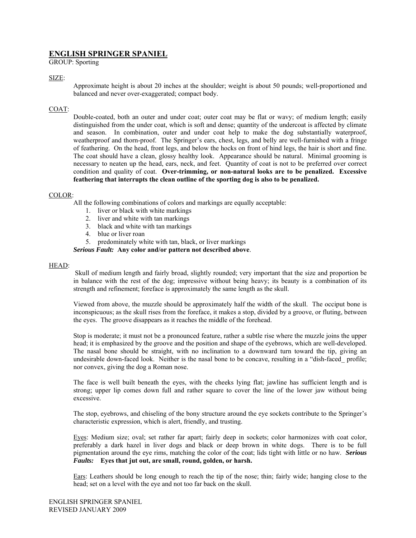# **ENGLISH SPRINGER SPANIEL**

GROUP: Sporting

## SIZE:

Approximate height is about 20 inches at the shoulder; weight is about 50 pounds; well-proportioned and balanced and never over-exaggerated; compact body.

## COAT:

Double-coated, both an outer and under coat; outer coat may be flat or wavy; of medium length; easily distinguished from the under coat, which is soft and dense; quantity of the undercoat is affected by climate and season. In combination, outer and under coat help to make the dog substantially waterproof, weatherproof and thorn-proof. The Springer's ears, chest, legs, and belly are well-furnished with a fringe of feathering. On the head, front legs, and below the hocks on front of hind legs, the hair is short and fine. The coat should have a clean, glossy healthy look. Appearance should be natural. Minimal grooming is necessary to neaten up the head, ears, neck, and feet. Quantity of coat is not to be preferred over correct condition and quality of coat. **Over-trimming, or non-natural looks are to be penalized. Excessive feathering that interrupts the clean outline of the sporting dog is also to be penalized.** 

## COLOR:

All the following combinations of colors and markings are equally acceptable:

- 1. liver or black with white markings
- 2. liver and white with tan markings
- 3. black and white with tan markings
- 4. blue or liver roan
- 5. predominately white with tan, black, or liver markings

*Serious Fault:* **Any color and/or pattern not described above**.

## HEAD:

 Skull of medium length and fairly broad, slightly rounded; very important that the size and proportion be in balance with the rest of the dog; impressive without being heavy; its beauty is a combination of its strength and refinement; foreface is approximately the same length as the skull.

Viewed from above, the muzzle should be approximately half the width of the skull. The occiput bone is inconspicuous; as the skull rises from the foreface, it makes a stop, divided by a groove, or fluting, between the eyes. The groove disappears as it reaches the middle of the forehead.

Stop is moderate; it must not be a pronounced feature, rather a subtle rise where the muzzle joins the upper head; it is emphasized by the groove and the position and shape of the eyebrows, which are well-developed. The nasal bone should be straight, with no inclination to a downward turn toward the tip, giving an undesirable down-faced look. Neither is the nasal bone to be concave, resulting in a "dish-faced\_ profile; nor convex, giving the dog a Roman nose.

The face is well built beneath the eyes, with the cheeks lying flat; jawline has sufficient length and is strong; upper lip comes down full and rather square to cover the line of the lower jaw without being excessive.

The stop, eyebrows, and chiseling of the bony structure around the eye sockets contribute to the Springer's characteristic expression, which is alert, friendly, and trusting.

Eyes: Medium size; oval; set rather far apart; fairly deep in sockets; color harmonizes with coat color, preferably a dark hazel in liver dogs and black or deep brown in white dogs. There is to be full pigmentation around the eye rims, matching the color of the coat; lids tight with little or no haw. *Serious Faults:* **Eyes that jut out, are small, round, golden, or harsh.** 

Ears: Leathers should be long enough to reach the tip of the nose; thin; fairly wide; hanging close to the head; set on a level with the eye and not too far back on the skull.